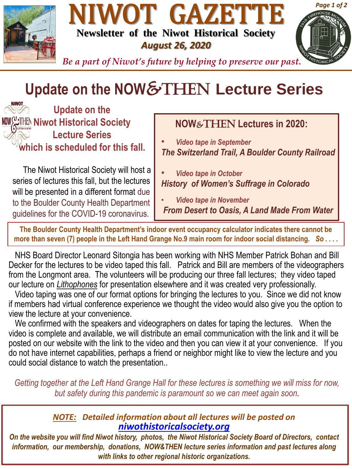





*Be a part of Niwot's future by helping to preserve our past.*

# **Update on the NOW**&THen **Lecture Series**

**Update on the Niwot Historical Society Lecture Series which is scheduled for this fall.**

The Niwot Historical Society will host a series of lectures this fall, but the lectures will be presented in a different format due to the Boulder County Health Department guidelines for the COVID-19 coronavirus.

# **NOW**&THEN **Lectures in 2020:**

• *Video tape in September The Switzerland Trail, A Boulder County Railroad*

• *Video tape in October History of Women's Suffrage in Colorado*

• *Video tape in November From Desert to Oasis, A Land Made From Water*

**The Boulder County Health Department's indoor event occupancy calculator indicates there cannot be more than seven (7) people in the Left Hand Grange No.9 main room for indoor social distancing.** *So . . . .*

NHS Board Director Leonard Sitongia has been working with NHS Member Patrick Bohan and Bill Decker for the lectures to be video taped this fall. Patrick and Bill are members of the videographers from the Longmont area. The volunteers will be producing our three fall lectures; they video taped our lecture on *Lithophones* for presentation elsewhere and it was created very professionally.

Video taping was one of our format options for bringing the lectures to you. Since we did not know if members had virtual conference experience we thought the video would also give you the option to view the lecture at your convenience.

We confirmed with the speakers and videographers on dates for taping the lectures. When the video is complete and available, we will distribute an email communication with the link and it will be posted on our website with the link to the video and then you can view it at your convenience. If you do not have internet capabilities, perhaps a friend or neighbor might like to view the lecture and you could social distance to watch the presentation..

*Getting together at the Left Hand Grange Hall for these lectures is something we will miss for now, but safety during this pandemic is paramount so we can meet again soon.*

## *NOTE: Detailed information about all lectures will be posted on [niwothistoricalsociety.org](http://www.niwothistoricalsociety.org/)*

*On the website you will find Niwot history, photos, the Niwot Historical Society Board of Directors, contact information, our membership, donations, NOW&THEN lecture series information and past lectures along with links to other regional historic organizations.*